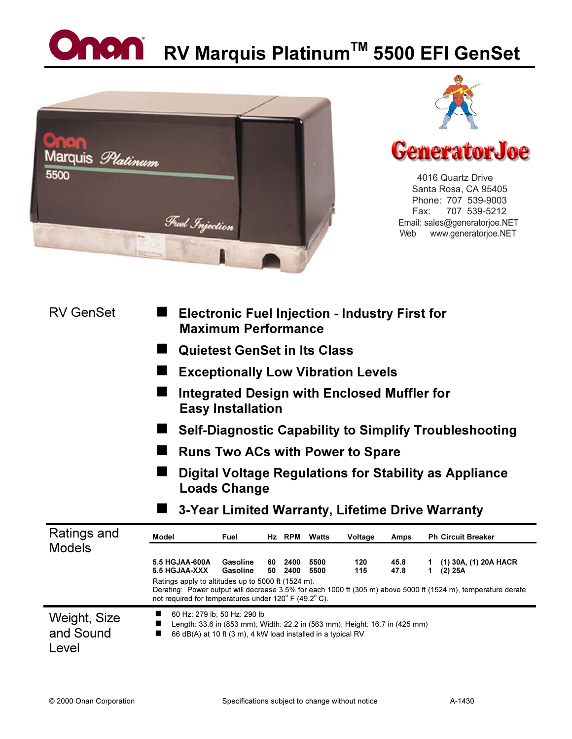## **Onon** RV Marquis Platinum<sup>TM</sup> 5500 EFI GenSet







 4016 Quartz Drive Santa Rosa, CA 95405 Phone: 707 539-9003 Fax: 707 539-5212 Email: sales@generatorjoe.NET Web www.generatorjoe.NET

| <b>RV GenSet</b>                   | <b>Electronic Fuel Injection - Industry First for</b><br><b>Maximum Performance</b>                                                                                                                                                                                                                                                                                                                      |  |  |  |  |  |
|------------------------------------|----------------------------------------------------------------------------------------------------------------------------------------------------------------------------------------------------------------------------------------------------------------------------------------------------------------------------------------------------------------------------------------------------------|--|--|--|--|--|
|                                    | <b>Quietest GenSet in Its Class</b>                                                                                                                                                                                                                                                                                                                                                                      |  |  |  |  |  |
|                                    | <b>Exceptionally Low Vibration Levels</b><br>Integrated Design with Enclosed Muffler for<br><b>Easy Installation</b><br>Self-Diagnostic Capability to Simplify Troubleshooting<br><b>Runs Two ACs with Power to Spare</b><br>Digital Voltage Regulations for Stability as Appliance<br><b>Loads Change</b>                                                                                               |  |  |  |  |  |
|                                    |                                                                                                                                                                                                                                                                                                                                                                                                          |  |  |  |  |  |
|                                    |                                                                                                                                                                                                                                                                                                                                                                                                          |  |  |  |  |  |
|                                    |                                                                                                                                                                                                                                                                                                                                                                                                          |  |  |  |  |  |
|                                    |                                                                                                                                                                                                                                                                                                                                                                                                          |  |  |  |  |  |
|                                    | 3-Year Limited Warranty, Lifetime Drive Warranty                                                                                                                                                                                                                                                                                                                                                         |  |  |  |  |  |
| Ratings and                        | <b>Model</b><br>Hz RPM<br><b>Ph Circuit Breaker</b><br>Fuel<br>Watts<br>Voltage<br>Amps                                                                                                                                                                                                                                                                                                                  |  |  |  |  |  |
| <b>Models</b>                      | 5.5 HGJAA-600A<br>Gasoline<br>60 2400<br>5500<br>120<br>45.8<br>(1) 30A, (1) 20A HACR<br>5.5 HGJAA-XXX<br>Gasoline<br>115<br>47.8<br>50<br>2400<br>5500<br>(2) 25A<br>1.<br>Ratings apply to altitudes up to 5000 ft (1524 m).<br>Derating: Power output will decrease 3.5% for each 1000 ft (305 m) above 5000 ft (1524 m), temperature derate<br>not required for temperatures under 120° F (49.2° C). |  |  |  |  |  |
| Weight, Size<br>and Sound<br>Level | 60 Hz: 279 lb; 50 Hz: 290 lb<br>■<br>Length: 33.6 in (853 mm); Width: 22.2 in (563 mm); Height: 16.7 in (425 mm)<br>■<br>66 dB(A) at 10 ft (3 m), 4 kW load installed in a typical RV<br>■                                                                                                                                                                                                               |  |  |  |  |  |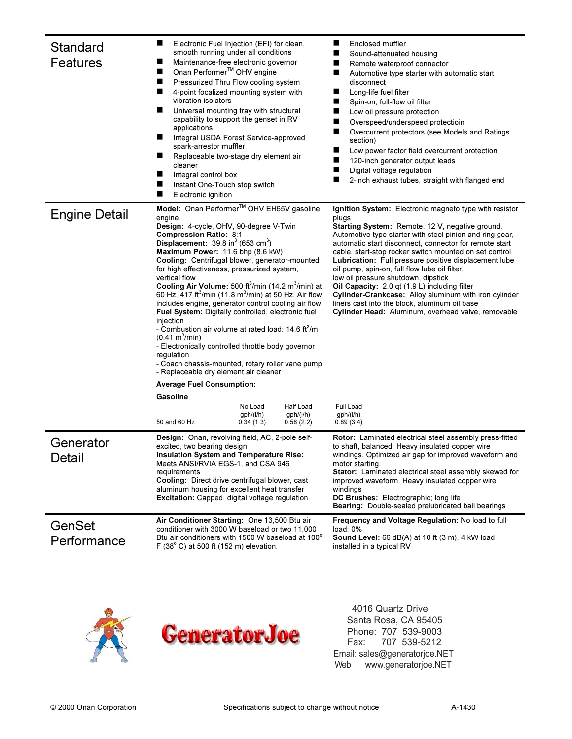| Standard<br>Features  | ш<br>Electronic Fuel Injection (EFI) for clean,<br>smooth running under all conditions<br>Maintenance-free electronic governor<br>■<br>Onan Performer <sup>™</sup> OHV engine<br>ш<br>Pressurized Thru Flow cooling system<br>ш<br>ш<br>4-point focalized mounting system with<br>vibration isolators<br>ш<br>Universal mounting tray with structural<br>capability to support the genset in RV<br>applications<br>Integral USDA Forest Service-approved<br>ш<br>spark-arrestor muffler<br>Replaceable two-stage dry element air<br>ш<br>cleaner<br>■<br>Integral control box<br>Instant One-Touch stop switch<br>Electronic ignition                                                                                                                                                                                                                                                                                                                         |                                   |                                            | Enclosed muffler<br>■<br>Sound-attenuated housing<br>ш<br>Remote waterproof connector<br>■<br>Automotive type starter with automatic start<br>disconnect<br>■<br>Long-life fuel filter<br>■<br>Spin-on, full-flow oil filter<br>■<br>Low oil pressure protection<br>п<br>Overspeed/underspeed protectioin<br>п<br>Overcurrent protectors (see Models and Ratings<br>section)<br>■<br>Low power factor field overcurrent protection<br>■<br>120-inch generator output leads<br>ш<br>Digital voltage regulation<br>■<br>2-inch exhaust tubes, straight with flanged end                                                                                                |
|-----------------------|---------------------------------------------------------------------------------------------------------------------------------------------------------------------------------------------------------------------------------------------------------------------------------------------------------------------------------------------------------------------------------------------------------------------------------------------------------------------------------------------------------------------------------------------------------------------------------------------------------------------------------------------------------------------------------------------------------------------------------------------------------------------------------------------------------------------------------------------------------------------------------------------------------------------------------------------------------------|-----------------------------------|--------------------------------------------|----------------------------------------------------------------------------------------------------------------------------------------------------------------------------------------------------------------------------------------------------------------------------------------------------------------------------------------------------------------------------------------------------------------------------------------------------------------------------------------------------------------------------------------------------------------------------------------------------------------------------------------------------------------------|
| <b>Engine Detail</b>  | Model: Onan Performer™ OHV EH65V gasoline<br>engine<br>Design: 4-cycle, OHV, 90-degree V-Twin<br><b>Compression Ratio: 8:1</b><br><b>Displacement:</b> $39.8$ in <sup>3</sup> (653 cm <sup>3</sup> )<br>Maximum Power: 11.6 bhp (8.6 kW)<br>Cooling: Centrifugal blower, generator-mounted<br>for high effectiveness, pressurized system,<br>vertical flow<br>Cooling Air Volume: 500 ft <sup>3</sup> /min (14.2 m <sup>3</sup> /min) at<br>60 Hz, 417 ft <sup>3</sup> /min (11.8 m <sup>3</sup> /min) at 50 Hz. Air flow<br>includes engine, generator control cooling air flow<br>Fuel System: Digitally controlled, electronic fuel<br>injection<br>- Combustion air volume at rated load: 14.6 ft <sup>3</sup> /m<br>$(0.41 \text{ m}^3/\text{min})$<br>- Electronically controlled throttle body governor<br>regulation<br>- Coach chassis-mounted, rotary roller vane pump<br>- Replaceable dry element air cleaner<br><b>Average Fuel Consumption:</b> |                                   |                                            | Ignition System: Electronic magneto type with resistor<br>plugs<br>Starting System: Remote, 12 V, negative ground.<br>Automotive type starter with steel pinion and ring gear,<br>automatic start disconnect, connector for remote start<br>cable, start-stop rocker switch mounted on set control<br>Lubrication: Full pressure positive displacement lube<br>oil pump, spin-on, full flow lube oil filter,<br>low oil pressure shutdown, dipstick<br>Oil Capacity: 2.0 gt (1.9 L) including filter<br>Cylinder-Crankcase: Alloy aluminum with iron cylinder<br>liners cast into the block, aluminum oil base<br>Cylinder Head: Aluminum, overhead valve, removable |
|                       | Gasoline<br>50 and 60 Hz                                                                                                                                                                                                                                                                                                                                                                                                                                                                                                                                                                                                                                                                                                                                                                                                                                                                                                                                      | No Load<br>gph/(l/h)<br>0.34(1.3) | <b>Half Load</b><br>gph/(l/h)<br>0.58(2.2) | Full Load<br>gph/(l/h)<br>0.89(3.4)                                                                                                                                                                                                                                                                                                                                                                                                                                                                                                                                                                                                                                  |
| Generator<br>Detail   | Design: Onan, revolving field, AC, 2-pole self-<br>excited, two bearing design<br><b>Insulation System and Temperature Rise:</b><br>Meets ANSI/RVIA EGS-1, and CSA 946<br>requirements<br>Cooling: Direct drive centrifugal blower, cast<br>aluminum housing for excellent heat transfer<br>Excitation: Capped, digital voltage regulation                                                                                                                                                                                                                                                                                                                                                                                                                                                                                                                                                                                                                    |                                   |                                            | Rotor: Laminated electrical steel assembly press-fitted<br>to shaft, balanced. Heavy insulated copper wire<br>windings. Optimized air gap for improved waveform and<br>motor starting.<br>Stator: Laminated electrical steel assembly skewed for<br>improved waveform. Heavy insulated copper wire<br>windings<br>DC Brushes: Electrographic; long life<br>Bearing: Double-sealed prelubricated ball bearings                                                                                                                                                                                                                                                        |
| GenSet<br>Performance | Air Conditioner Starting: One 13,500 Btu air<br>conditioner with 3000 W baseload or two 11,000<br>Btu air conditioners with 1500 W baseload at 100°<br>F $(38^{\circ}$ C) at 500 ft $(152 \text{ m})$ elevation.                                                                                                                                                                                                                                                                                                                                                                                                                                                                                                                                                                                                                                                                                                                                              |                                   |                                            | <b>Frequency and Voltage Regulation: No load to full</b><br>load: $0\%$<br>Sound Level: 66 dB(A) at 10 ft (3 m), 4 kW load<br>installed in a typical RV                                                                                                                                                                                                                                                                                                                                                                                                                                                                                                              |



 4016 Quartz Drive Santa Rosa, CA 95405 Phone: 707 539-9003 Fax: 707 539-5212 Email: sales@generatorjoe.NET Web www.generatorjoe.NET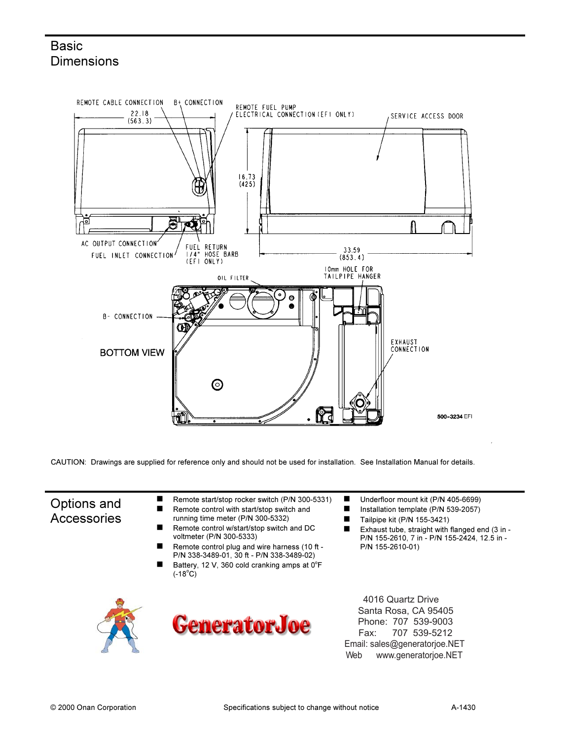## **Basic Dimensions**



CAUTION: Drawings are supplied for reference only and should not be used for installation. See Installation Manual for details.

## Options and Accessories

- -Remote start/stop rocker switch (P/N 300-5331) -Remote control with start/stop switch and
- running time meter (P/N 300-5332) -
- Remote control w/start/stop switch and DC voltmeter (P/N 300-5333)
- -Remote control plug and wire harness (10 ft - P/N 338-3489-01, 30 ft - P/N 338-3489-02)
- -Battery, 12 V, 360 cold cranking amps at  $0^{\circ}$ F  $(-18^{\circ}C)^{7}$





-Underfloor mount kit (P/N 405-6699) -

- Installation template (P/N 539-2057)
- -Tailpipe kit (P/N 155-3421)
- -Exhaust tube, straight with flanged end (3 in - P/N 155-2610, 7 in - P/N 155-2424, 12.5 in - P/N 155-2610-01)

 4016 Quartz Drive Santa Rosa, CA 95405 Phone: 707 539-9003 Fax: 707 539-5212 Email: sales@generatorjoe.NET Web www.generatorjoe.NET